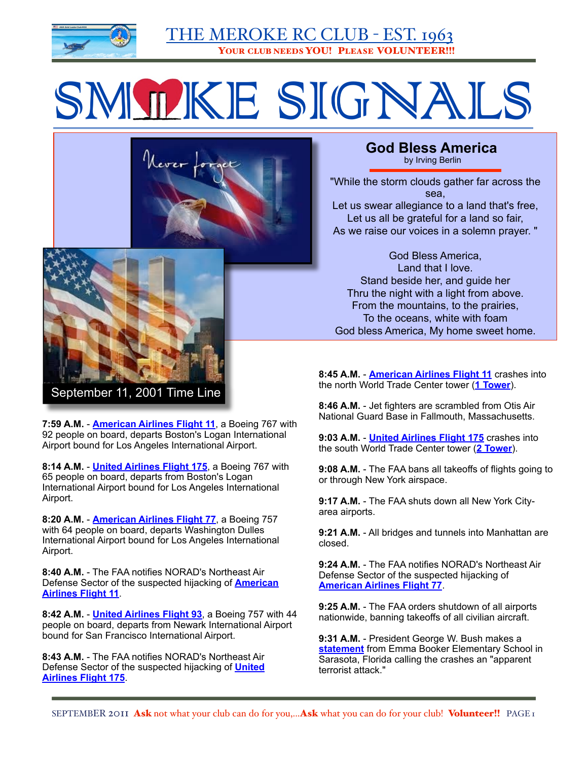

# SMOKE SIGNALS





"While the storm clouds gather far across the sea, Let us swear allegiance to a land that's free, Let us all be grateful for a land so fair, As we raise our voices in a solemn prayer. "

God Bless America, Land that I love. Stand beside her, and guide her Thru the night with a light from above. From the mountains, to the prairies, To the oceans, white with foam God bless America, My home sweet home.

**8:45 A.M.** - **[American Airlines Flight 11](http://www.patriotresource.com/wtc/flights/11.html)** crashes into the north World Trade Center tower (**[1 Tower](http://www.patriotresource.com/wtc/wtc/towers.html)**).

**8:46 A.M.** - Jet fighters are scrambled from Otis Air National Guard Base in Fallmouth, Massachusetts.

**9:03 A.M.** - **[United Airlines Flight 175](http://www.patriotresource.com/wtc/flights/175.html)** crashes into the south World Trade Center tower (**[2 Tower](http://www.patriotresource.com/wtc/wtc/towers.html)**).

**9:08 A.M.** - The FAA bans all takeoffs of flights going to or through New York airspace.

**9:17 A.M.** - The FAA shuts down all New York Cityarea airports.

**9:21 A.M.** - All bridges and tunnels into Manhattan are closed.

**9:24 A.M.** - The FAA notifies NORAD's Northeast Air Defense Sector of the suspected hijacking of **[American Airlines Flight 77](http://www.patriotresource.com/wtc/flights/77.html)**.

**9:25 A.M.** - The FAA orders shutdown of all airports nationwide, banning takeoffs of all civilian aircraft.

**9:31 A.M.** - President George W. Bush makes a **[statement](http://www.patriotresource.com/wtc/president/address1.html)** from Emma Booker Elementary School in Sarasota, Florida calling the crashes an "apparent terrorist attack."



**7:59 A.M.** - **[American Airlines Flight 11](http://www.patriotresource.com/wtc/flights/11.html)**, a Boeing 767 with 92 people on board, departs Boston's Logan International Airport bound for Los Angeles International Airport.

**8:14 A.M.** - **[United Airlines Flight 175](http://www.patriotresource.com/wtc/flights/175.html)**, a Boeing 767 with 65 people on board, departs from Boston's Logan International Airport bound for Los Angeles International Airport.

**8:20 A.M.** - **[American Airlines Flight 77](http://www.patriotresource.com/wtc/flights/77.html)**, a Boeing 757 with 64 people on board, departs Washington Dulles International Airport bound for Los Angeles International Airport.

**8:40 A.M.** - The FAA notifies NORAD's Northeast Air Defense Sector of the suspected hijacking of **[American](http://www.patriotresource.com/wtc/flights/11.html)  [Airlines Flight 11](http://www.patriotresource.com/wtc/flights/11.html)**.

**8:42 A.M.** - **[United Airlines Flight 93](http://www.patriotresource.com/wtc/flights/93.html)**, a Boeing 757 with 44 people on board, departs from Newark International Airport bound for San Francisco International Airport.

**8:43 A.M.** - The FAA notifies NORAD's Northeast Air Defense Sector of the suspected hijacking of **[United](http://www.patriotresource.com/wtc/flights/175.html)  [Airlines Flight 175](http://www.patriotresource.com/wtc/flights/175.html)**.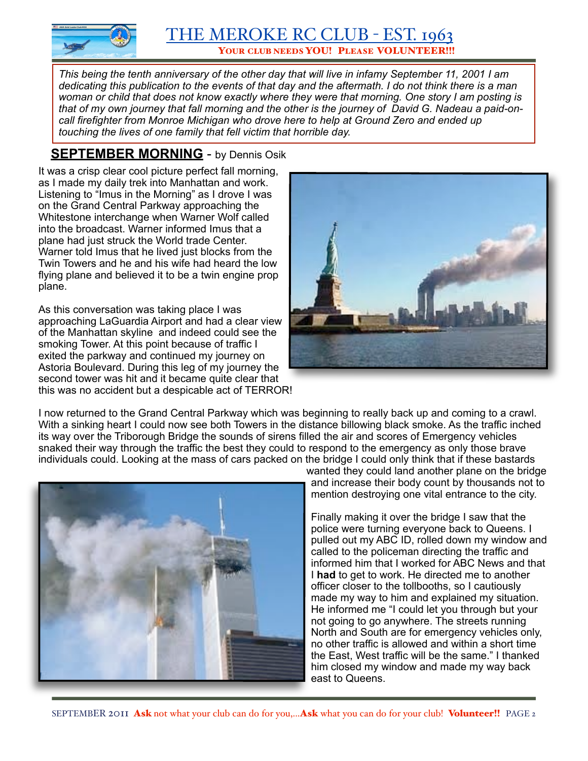

*This being the tenth anniversary of the other day that will live in infamy September 11, 2001 I am dedicating this publication to the events of that day and the aftermath. I do not think there is a man woman or child that does not know exactly where they were that morning. One story I am posting is that of my own journey that fall morning and the other is the journey of David G. Nadeau a paid-oncall firefighter from Monroe Michigan who drove here to help at Ground Zero and ended up touching the lives of one family that fell victim that horrible day.*

# **SEPTEMBER MORNING** - by Dennis Osik

It was a crisp clear cool picture perfect fall morning, as I made my daily trek into Manhattan and work. Listening to "Imus in the Morning" as I drove I was on the Grand Central Parkway approaching the Whitestone interchange when Warner Wolf called into the broadcast. Warner informed Imus that a plane had just struck the World trade Center. Warner told Imus that he lived just blocks from the Twin Towers and he and his wife had heard the low flying plane and believed it to be a twin engine prop plane.

As this conversation was taking place I was approaching LaGuardia Airport and had a clear view of the Manhattan skyline and indeed could see the smoking Tower. At this point because of traffic I exited the parkway and continued my journey on Astoria Boulevard. During this leg of my journey the second tower was hit and it became quite clear that this was no accident but a despicable act of TERROR!



I now returned to the Grand Central Parkway which was beginning to really back up and coming to a crawl. With a sinking heart I could now see both Towers in the distance billowing black smoke. As the traffic inched its way over the Triborough Bridge the sounds of sirens filled the air and scores of Emergency vehicles snaked their way through the traffic the best they could to respond to the emergency as only those brave individuals could. Looking at the mass of cars packed on the bridge I could only think that if these bastards



wanted they could land another plane on the bridge and increase their body count by thousands not to mention destroying one vital entrance to the city.

Finally making it over the bridge I saw that the police were turning everyone back to Queens. I pulled out my ABC ID, rolled down my window and called to the policeman directing the traffic and informed him that I worked for ABC News and that I **had** to get to work. He directed me to another officer closer to the tollbooths, so I cautiously made my way to him and explained my situation. He informed me "I could let you through but your not going to go anywhere. The streets running North and South are for emergency vehicles only, no other traffic is allowed and within a short time the East, West traffic will be the same." I thanked him closed my window and made my way back east to Queens.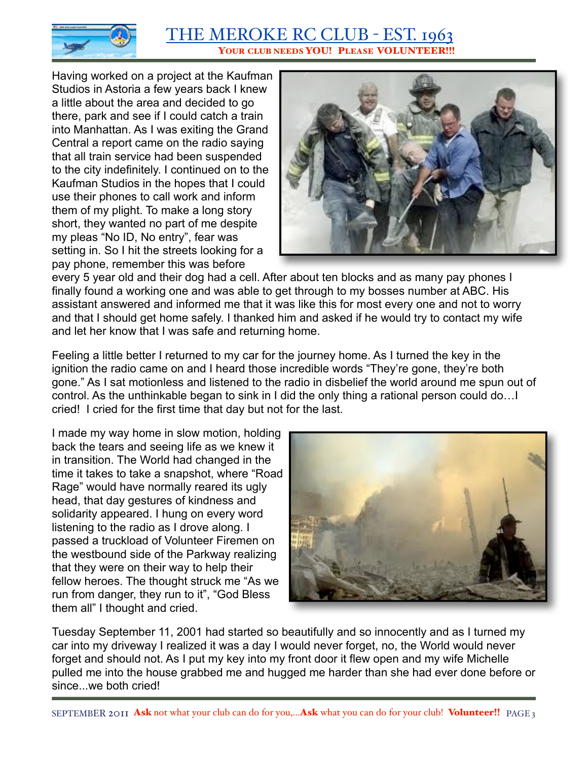

Having worked on a project at the Kaufman Studios in Astoria a few years back I knew a little about the area and decided to go there, park and see if I could catch a train into Manhattan. As I was exiting the Grand Central a report came on the radio saying that all train service had been suspended to the city indefinitely. I continued on to the Kaufman Studios in the hopes that I could use their phones to call work and inform them of my plight. To make a long story short, they wanted no part of me despite my pleas "No ID, No entry", fear was setting in. So I hit the streets looking for a pay phone, remember this was before



every 5 year old and their dog had a cell. After about ten blocks and as many pay phones I finally found a working one and was able to get through to my bosses number at ABC. His assistant answered and informed me that it was like this for most every one and not to worry and that I should get home safely. I thanked him and asked if he would try to contact my wife and let her know that I was safe and returning home.

Feeling a little better I returned to my car for the journey home. As I turned the key in the ignition the radio came on and I heard those incredible words "They're gone, they're both gone." As I sat motionless and listened to the radio in disbelief the world around me spun out of control. As the unthinkable began to sink in I did the only thing a rational person could do…I cried! I cried for the first time that day but not for the last.

I made my way home in slow motion, holding back the tears and seeing life as we knew it in transition. The World had changed in the time it takes to take a snapshot, where "Road Rage" would have normally reared its ugly head, that day gestures of kindness and solidarity appeared. I hung on every word listening to the radio as I drove along. I passed a truckload of Volunteer Firemen on the westbound side of the Parkway realizing that they were on their way to help their fellow heroes. The thought struck me "As we run from danger, they run to it", "God Bless them all" I thought and cried.



Tuesday September 11, 2001 had started so beautifully and so innocently and as I turned my car into my driveway I realized it was a day I would never forget, no, the World would never forget and should not. As I put my key into my front door it flew open and my wife Michelle pulled me into the house grabbed me and hugged me harder than she had ever done before or since we both cried!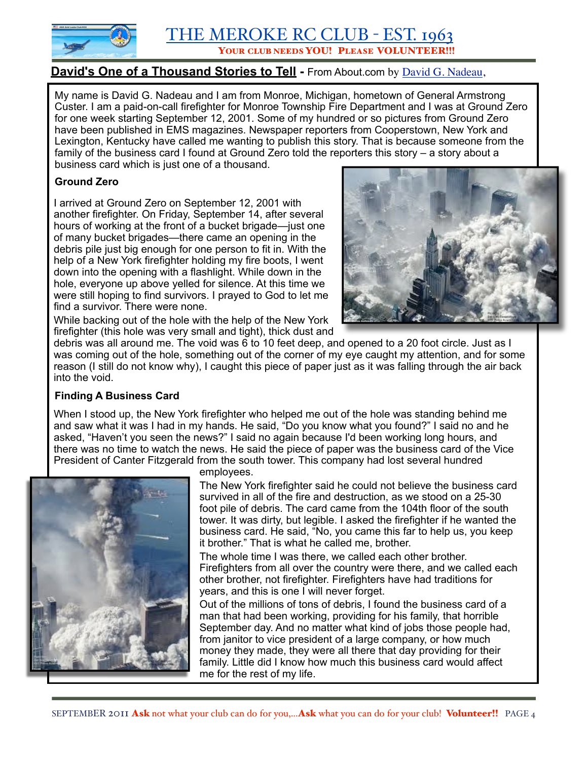

YOUR CLUB NEEDS YOU! PLEASE VOLUNTEER!!!

## David's One of a Thousand Stories to Tell - From About.com by [David G. Nadeau,](http://christianity.about.com/library/blsubmittestimony.htm)

My name is David G. Nadeau and I am from Monroe, Michigan, hometown of General Armstrong Custer. I am a paid-on-call firefighter for Monroe Township Fire Department and I was at Ground Zero for one week starting September 12, 2001. Some of my hundred or so pictures from Ground Zero have been published in EMS magazines. Newspaper reporters from Cooperstown, New York and Lexington, Kentucky have called me wanting to publish this story. That is because someone from the family of the business card I found at Ground Zero told the reporters this story – a story about a business card which is just one of a thousand.

#### **Ground Zero**

I arrived at Ground Zero on September 12, 2001 with another firefighter. On Friday, September 14, after several hours of working at the front of a bucket brigade—just one of many bucket brigades—there came an opening in the debris pile just big enough for one person to fit in. With the help of a New York firefighter holding my fire boots, I went down into the opening with a flashlight. While down in the hole, everyone up above yelled for silence. At this time we were still hoping to find survivors. I prayed to God to let me find a survivor. There were none.



While backing out of the hole with the help of the New York firefighter (this hole was very small and tight), thick dust and

debris was all around me. The void was 6 to 10 feet deep, and opened to a 20 foot circle. Just as I was coming out of the hole, something out of the corner of my eye caught my attention, and for some reason (I still do not know why), I caught this piece of paper just as it was falling through the air back into the void.

#### **Finding A Business Card**

When I stood up, the New York firefighter who helped me out of the hole was standing behind me and saw what it was I had in my hands. He said, "Do you know what you found?" I said no and he asked, "Haven't you seen the news?" I said no again because I'd been working long hours, and there was no time to watch the news. He said the piece of paper was the business card of the Vice President of Canter Fitzgerald from the south tower. This company had lost several hundred



employees.

The New York firefighter said he could not believe the business card survived in all of the fire and destruction, as we stood on a 25-30 foot pile of debris. The card came from the 104th floor of the south tower. It was dirty, but legible. I asked the firefighter if he wanted the business card. He said, "No, you came this far to help us, you keep it brother." That is what he called me, brother.

The whole time I was there, we called each other brother. Firefighters from all over the country were there, and we called each other brother, not firefighter. Firefighters have had traditions for years, and this is one I will never forget.

Out of the millions of tons of debris, I found the business card of a man that had been working, providing for his family, that horrible September day. And no matter what kind of jobs those people had, from janitor to vice president of a large company, or how much money they made, they were all there that day providing for their family. Little did I know how much this business card would affect me for the rest of my life.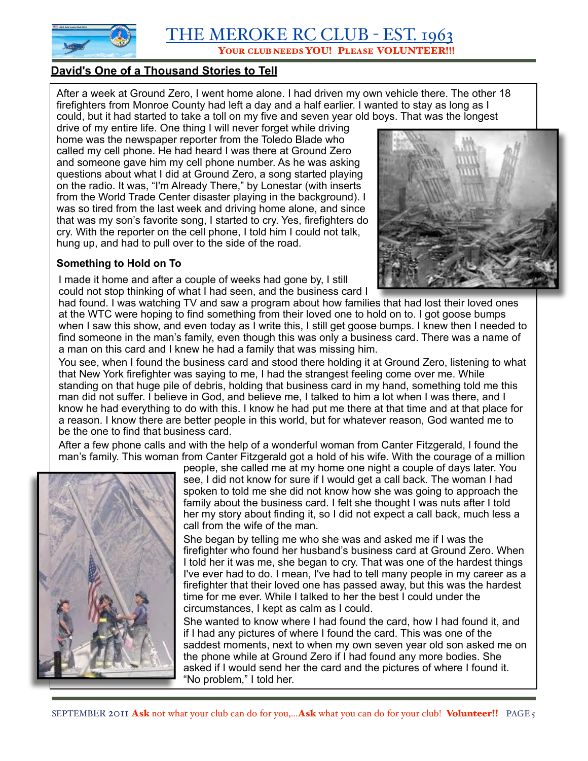

#### **David's One of a Thousand Stories to Tell**

After a week at Ground Zero, I went home alone. I had driven my own vehicle there. The other 18 firefighters from Monroe County had left a day and a half earlier. I wanted to stay as long as I could, but it had started to take a toll on my five and seven year old boys. That was the longest

drive of my entire life. One thing I will never forget while driving home was the newspaper reporter from the Toledo Blade who called my cell phone. He had heard I was there at Ground Zero and someone gave him my cell phone number. As he was asking questions about what I did at Ground Zero, a song started playing on the radio. It was, "I'm Already There," by Lonestar (with inserts from the World Trade Center disaster playing in the background). I was so tired from the last week and driving home alone, and since that was my son's favorite song, I started to cry. Yes, firefighters do cry. With the reporter on the cell phone, I told him I could not talk, hung up, and had to pull over to the side of the road.

#### **Something to Hold on To**

I made it home and after a couple of weeks had gone by, I still could not stop thinking of what I had seen, and the business card I



had found. I was watching TV and saw a program about how families that had lost their loved ones at the WTC were hoping to find something from their loved one to hold on to. I got goose bumps when I saw this show, and even today as I write this, I still get goose bumps. I knew then I needed to find someone in the man's family, even though this was only a business card. There was a name of a man on this card and I knew he had a family that was missing him.

You see, when I found the business card and stood there holding it at Ground Zero, listening to what that New York firefighter was saying to me, I had the strangest feeling come over me. While standing on that huge pile of debris, holding that business card in my hand, something told me this man did not suffer. I believe in God, and believe me, I talked to him a lot when I was there, and I know he had everything to do with this. I know he had put me there at that time and at that place for a reason. I know there are better people in this world, but for whatever reason, God wanted me to be the one to find that business card.

After a few phone calls and with the help of a wonderful woman from Canter Fitzgerald, I found the man's family. This woman from Canter Fitzgerald got a hold of his wife. With the courage of a million



people, she called me at my home one night a couple of days later. You see, I did not know for sure if I would get a call back. The woman I had spoken to told me she did not know how she was going to approach the family about the business card. I felt she thought I was nuts after I told her my story about finding it, so I did not expect a call back, much less a call from the wife of the man.

She began by telling me who she was and asked me if I was the firefighter who found her husband's business card at Ground Zero. When I told her it was me, she began to cry. That was one of the hardest things I've ever had to do. I mean, I've had to tell many people in my career as a firefighter that their loved one has passed away, but this was the hardest time for me ever. While I talked to her the best I could under the circumstances, I kept as calm as I could.

She wanted to know where I had found the card, how I had found it, and if I had any pictures of where I found the card. This was one of the saddest moments, next to when my own seven year old son asked me on the phone while at Ground Zero if I had found any more bodies. She asked if I would send her the card and the pictures of where I found it. "No problem," I told her.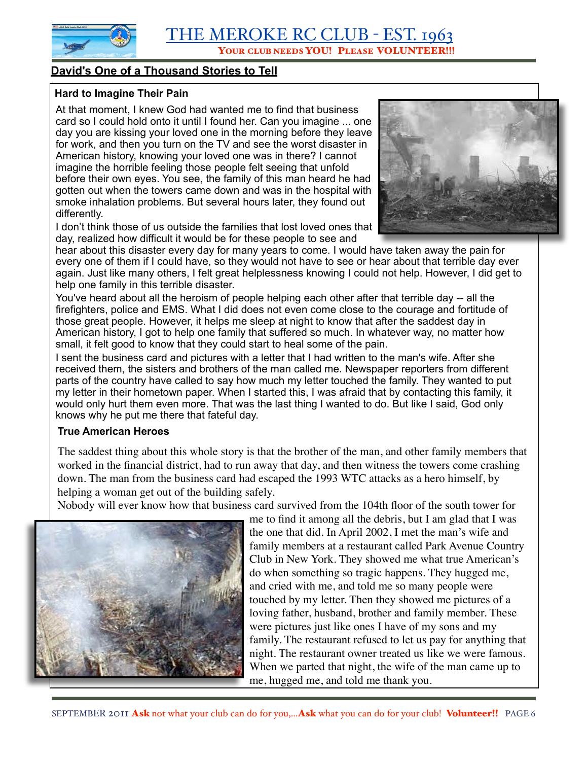YOUR CLUB NEEDS YOU! PLEASE VOLUNTEER!!!

#### **David's One of a Thousand Stories to Tell**

#### **Hard to Imagine Their Pain**

At that moment, I knew God had wanted me to find that business card so I could hold onto it until I found her. Can you imagine ... one day you are kissing your loved one in the morning before they leave for work, and then you turn on the TV and see the worst disaster in American history, knowing your loved one was in there? I cannot imagine the horrible feeling those people felt seeing that unfold before their own eyes. You see, the family of this man heard he had gotten out when the towers came down and was in the hospital with smoke inhalation problems. But several hours later, they found out differently.

I don't think those of us outside the families that lost loved ones that day, realized how difficult it would be for these people to see and



hear about this disaster every day for many years to come. I would have taken away the pain for every one of them if I could have, so they would not have to see or hear about that terrible day ever again. Just like many others, I felt great helplessness knowing I could not help. However, I did get to help one family in this terrible disaster.

You've heard about all the heroism of people helping each other after that terrible day -- all the firefighters, police and EMS. What I did does not even come close to the courage and fortitude of those great people. However, it helps me sleep at night to know that after the saddest day in American history, I got to help one family that suffered so much. In whatever way, no matter how small, it felt good to know that they could start to heal some of the pain.

I sent the business card and pictures with a letter that I had written to the man's wife. After she received them, the sisters and brothers of the man called me. Newspaper reporters from different parts of the country have called to say how much my letter touched the family. They wanted to put my letter in their hometown paper. When I started this, I was afraid that by contacting this family, it would only hurt them even more. That was the last thing I wanted to do. But like I said, God only knows why he put me there that fateful day.

#### **True American Heroes**

The saddest thing about this whole story is that the brother of the man, and other family members that worked in the financial district, had to run away that day, and then witness the towers come crashing down. The man from the business card had escaped the 1993 WTC attacks as a hero himself, by helping a woman get out of the building safely.

Nobody will ever know how that business card survived from the 104th floor of the south tower for



me to find it among all the debris, but I am glad that I was the one that did. In April 2002, I met the man's wife and family members at a restaurant called Park Avenue Country Club in New York. They showed me what true American's do when something so tragic happens. They hugged me, and cried with me, and told me so many people were touched by my letter. Then they showed me pictures of a loving father, husband, brother and family member. These were pictures just like ones I have of my sons and my family. The restaurant refused to let us pay for anything that night. The restaurant owner treated us like we were famous. When we parted that night, the wife of the man came up to me, hugged me, and told me thank you.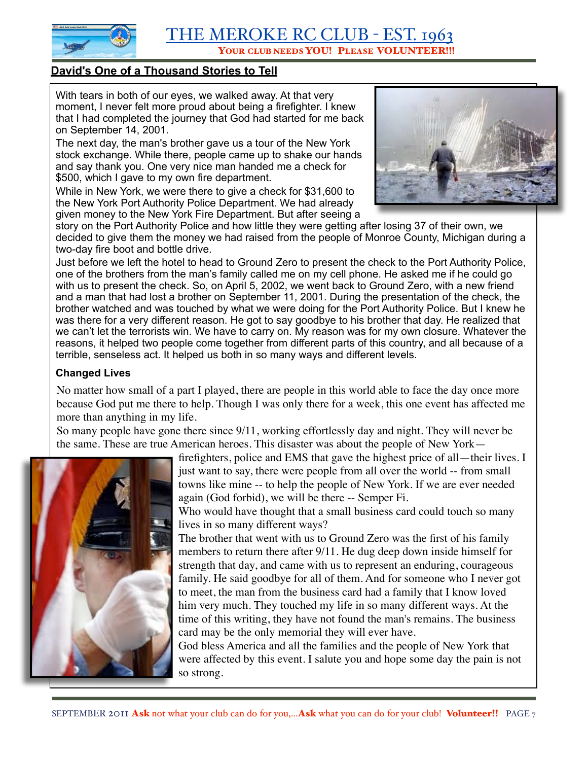

#### **David's One of a Thousand Stories to Tell**

With tears in both of our eyes, we walked away. At that very moment, I never felt more proud about being a firefighter. I knew that I had completed the journey that God had started for me back on September 14, 2001.

The next day, the man's brother gave us a tour of the New York stock exchange. While there, people came up to shake our hands and say thank you. One very nice man handed me a check for \$500, which I gave to my own fire department.

While in New York, we were there to give a check for \$31,600 to the New York Port Authority Police Department. We had already given money to the New York Fire Department. But after seeing a



story on the Port Authority Police and how little they were getting after losing 37 of their own, we decided to give them the money we had raised from the people of Monroe County, Michigan during a two-day fire boot and bottle drive.

Just before we left the hotel to head to Ground Zero to present the check to the Port Authority Police, one of the brothers from the man's family called me on my cell phone. He asked me if he could go with us to present the check. So, on April 5, 2002, we went back to Ground Zero, with a new friend and a man that had lost a brother on September 11, 2001. During the presentation of the check, the brother watched and was touched by what we were doing for the Port Authority Police. But I knew he was there for a very different reason. He got to say goodbye to his brother that day. He realized that we can't let the terrorists win. We have to carry on. My reason was for my own closure. Whatever the reasons, it helped two people come together from different parts of this country, and all because of a terrible, senseless act. It helped us both in so many ways and different levels.

#### **Changed Lives**

No matter how small of a part I played, there are people in this world able to face the day once more because God put me there to help. Though I was only there for a week, this one event has affected me more than anything in my life.

So many people have gone there since 9/11, working effortlessly day and night. They will never be the same. These are true American heroes. This disaster was about the people of New York—



firefighters, police and EMS that gave the highest price of all—their lives. I just want to say, there were people from all over the world -- from small towns like mine -- to help the people of New York. If we are ever needed again (God forbid), we will be there -- Semper Fi.

Who would have thought that a small business card could touch so many lives in so many different ways?

The brother that went with us to Ground Zero was the first of his family members to return there after 9/11. He dug deep down inside himself for strength that day, and came with us to represent an enduring, courageous family. He said goodbye for all of them. And for someone who I never got to meet, the man from the business card had a family that I know loved him very much. They touched my life in so many different ways. At the time of this writing, they have not found the man's remains. The business card may be the only memorial they will ever have.

God bless America and all the families and the people of New York that were affected by this event. I salute you and hope some day the pain is not so strong.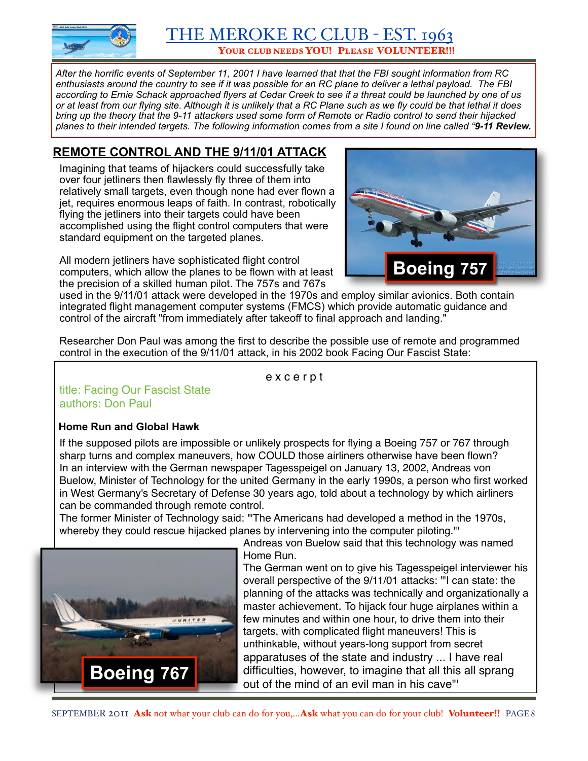

YOUR CLUB NEEDS YOU! PLEASE VOLUNTEER!!!

*After the horrific events of September 11, 2001 I have learned that that the FBI sought information from RC enthusiasts around the country to see if it was possible for an RC plane to deliver a lethal payload. The FBI according to Ernie Schack approached flyers at Cedar Creek to see if a threat could be launched by one of us or at least from our flying site. Although it is unlikely that a RC Plane such as we fly could be that lethal it does bring up the theory that the 9-11 attackers used some form of Remote or Radio control to send their hijacked planes to their intended targets. The following information comes from a site I found on line called "9-11 Review.*

# **REMOTE CONTROL AND THE 9/11/01 ATTACK**

Imagining that teams of hijackers could successfully take over four jetliners then flawlessly fly three of them into relatively small targets, even though none had ever flown a jet, requires enormous leaps of faith. In contrast, robotically flying the jetliners into their targets could have been accomplished using the flight control computers that were standard equipment on the targeted planes.

All modern jetliners have sophisticated flight control computers, which allow the planes to be flown with at least the precision of a skilled human pilot. The 757s and 767s



used in the 9/11/01 attack were developed in the 1970s and employ similar avionics. Both contain integrated flight management computer systems (FMCS) which provide automatic guidance and control of the aircraft "from immediately after takeoff to final approach and landing."

Researcher Don Paul was among the first to describe the possible use of remote and programmed control in the execution of the 9/11/01 attack, in his 2002 book Facing Our Fascist State:

e x c e r p t

#### title: Facing Our Fascist State authors: Don Paul

#### **Home Run and Global Hawk**

If the supposed pilots are impossible or unlikely prospects for flying a Boeing 757 or 767 through sharp turns and complex maneuvers, how COULD those airliners otherwise have been flown? In an interview with the German newspaper Tagesspeigel on January 13, 2002, Andreas von Buelow, Minister of Technology for the united Germany in the early 1990s, a person who first worked in West Germany's Secretary of Defense 30 years ago, told about a technology by which airliners can be commanded through remote control.

The former Minister of Technology said: '"The Americans had developed a method in the 1970s, whereby they could rescue hijacked planes by intervening into the computer piloting."



Andreas von Buelow said that this technology was named Home Run.

The German went on to give his Tagesspeigel interviewer his overall perspective of the 9/11/01 attacks: '"I can state: the planning of the attacks was technically and organizationally a master achievement. To hijack four huge airplanes within a few minutes and within one hour, to drive them into their targets, with complicated flight maneuvers! This is unthinkable, without years-long support from secret apparatuses of the state and industry ... I have real difficulties, however, to imagine that all this all sprang out of the mind of an evil man in his cave"'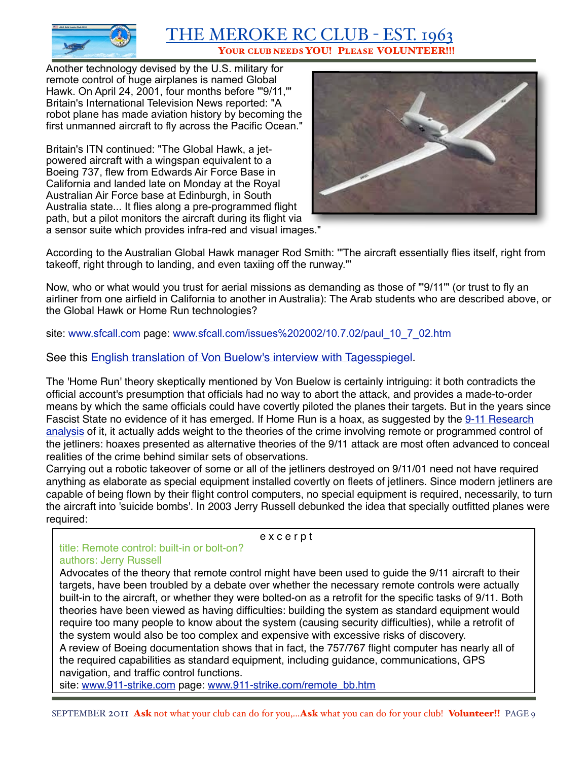

Another technology devised by the U.S. military for remote control of huge airplanes is named Global Hawk. On April 24, 2001, four months before "'9/11,'" Britain's International Television News reported: "A robot plane has made aviation history by becoming the first unmanned aircraft to fly across the Pacific Ocean."

Britain's ITN continued: "The Global Hawk, a jetpowered aircraft with a wingspan equivalent to a Boeing 737, flew from Edwards Air Force Base in California and landed late on Monday at the Royal Australian Air Force base at Edinburgh, in South Australia state... It flies along a pre-programmed flight path, but a pilot monitors the aircraft during its flight via a sensor suite which provides infra-red and visual images."



According to the Australian Global Hawk manager Rod Smith: '"The aircraft essentially flies itself, right from takeoff, right through to landing, and even taxiing off the runway."'

Now, who or what would you trust for aerial missions as demanding as those of "'9/11'" (or trust to fly an airliner from one airfield in California to another in Australia): The Arab students who are described above, or the Global Hawk or Home Run technologies?

site: [www.sfcall.com](http://www.sfcall.com/) page: [www.sfcall.com/issues%202002/10.7.02/paul\\_10\\_7\\_02.htm](http://www.sfcall.com/issues%202002/10.7.02/paul_10_7_02.htm)

See this [English translation of Von Buelow's interview with Tagesspiegel.](http://911review.com/articles/vonbuelow/tagesspiegel.html)

The 'Home Run' theory skeptically mentioned by Von Buelow is certainly intriguing: it both contradicts the official account's presumption that officials had no way to abort the attack, and provides a made-to-order means by which the same officials could have covertly piloted the planes their targets. But in the years since Fascist State no evidence of it has emerged. If Home Run is a hoax, as suggested by the 9-11 Research [analysis](http://911research.wtc7.net/planes/analysis/homerun.html) of it, it actually adds weight to the theories of the crime involving remote or programmed control of the jetliners: hoaxes presented as alternative theories of the 9/11 attack are most often advanced to conceal realities of the crime behind similar sets of observations.

Carrying out a robotic takeover of some or all of the jetliners destroyed on 9/11/01 need not have required anything as elaborate as special equipment installed covertly on fleets of jetliners. Since modern jetliners are capable of being flown by their flight control computers, no special equipment is required, necessarily, to turn the aircraft into 'suicide bombs'. In 2003 Jerry Russell debunked the idea that specially outfitted planes were required:

e x c e r p t

#### title: Remote control: built-in or bolt-on? authors: Jerry Russell

Advocates of the theory that remote control might have been used to guide the 9/11 aircraft to their targets, have been troubled by a debate over whether the necessary remote controls were actually built-in to the aircraft, or whether they were bolted-on as a retrofit for the specific tasks of 9/11. Both theories have been viewed as having difficulties: building the system as standard equipment would require too many people to know about the system (causing security difficulties), while a retrofit of the system would also be too complex and expensive with excessive risks of discovery. A review of Boeing documentation shows that in fact, the 757/767 flight computer has nearly all of the required capabilities as standard equipment, including guidance, communications, GPS navigation, and traffic control functions.

site: [www.911-strike.com](http://www.911-strike.com/) page: [www.911-strike.com/remote\\_bb.htm](http://www.911-strike.com/remote_bb.htm)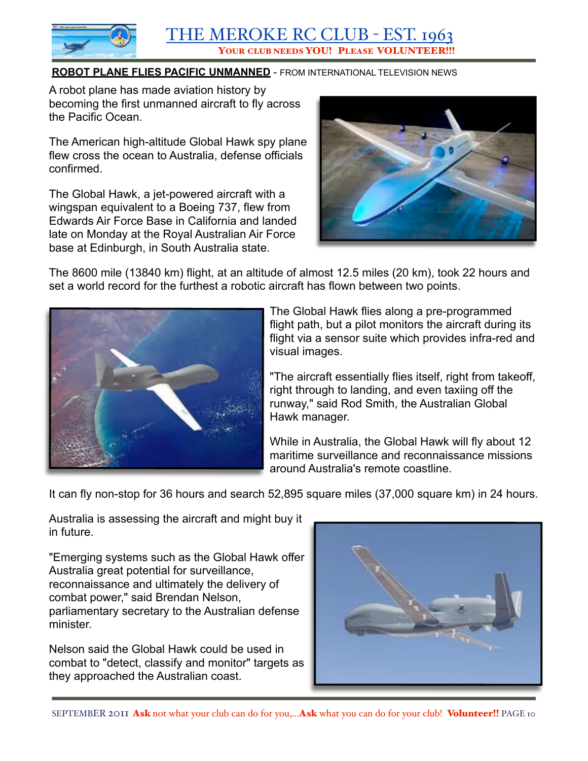

#### **ROBOT PLANE FLIES PACIFIC UNMANNED** - FROM INTERNATIONAL TELEVISION NEWS

A robot plane has made aviation history by becoming the first unmanned aircraft to fly across the Pacific Ocean.

The American high-altitude Global Hawk spy plane flew cross the ocean to Australia, defense officials confirmed.

The Global Hawk, a jet-powered aircraft with a wingspan equivalent to a Boeing 737, flew from Edwards Air Force Base in California and landed late on Monday at the Royal Australian Air Force base at Edinburgh, in South Australia state.



The 8600 mile (13840 km) flight, at an altitude of almost 12.5 miles (20 km), took 22 hours and set a world record for the furthest a robotic aircraft has flown between two points.



The Global Hawk flies along a pre-programmed flight path, but a pilot monitors the aircraft during its flight via a sensor suite which provides infra-red and visual images.

"The aircraft essentially flies itself, right from takeoff, right through to landing, and even taxiing off the runway," said Rod Smith, the Australian Global Hawk manager.

While in Australia, the Global Hawk will fly about 12 maritime surveillance and reconnaissance missions around Australia's remote coastline.

It can fly non-stop for 36 hours and search 52,895 square miles (37,000 square km) in 24 hours.

Australia is assessing the aircraft and might buy it in future.

"Emerging systems such as the Global Hawk offer Australia great potential for surveillance, reconnaissance and ultimately the delivery of combat power," said Brendan Nelson, parliamentary secretary to the Australian defense minister.

Nelson said the Global Hawk could be used in combat to "detect, classify and monitor" targets as they approached the Australian coast.